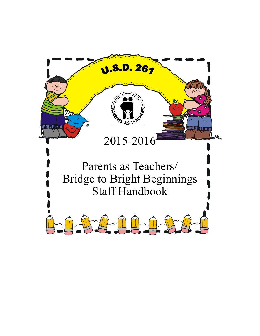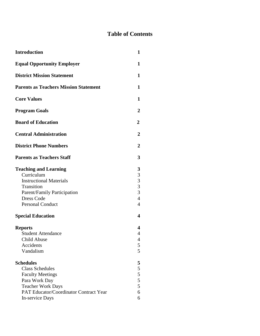# **Table of Contents**

| <b>Introduction</b>                          |  |
|----------------------------------------------|--|
| <b>Equal Opportunity Employer</b>            |  |
| <b>District Mission Statement</b>            |  |
| <b>Parents as Teachers Mission Statement</b> |  |
| <b>Core Values</b>                           |  |
| <b>Program Goals</b>                         |  |
| <b>Board of Education</b>                    |  |
| <b>Central Administration</b>                |  |
| <b>District Phone Numbers</b>                |  |
| <b>Parents as Teachers Staff</b>             |  |
| <b>Teaching and Learning</b>                 |  |
| Curriculum<br><b>Instructional Materials</b> |  |
| Transition                                   |  |
| Parent/Family Participation                  |  |
| Dress Code                                   |  |
| <b>Personal Conduct</b>                      |  |
| <b>Special Education</b>                     |  |
| <b>Reports</b>                               |  |
| <b>Student Attendance</b>                    |  |
| Child Abuse                                  |  |
| Accidents                                    |  |
| Vandalism                                    |  |
| <b>Schedules</b>                             |  |
| <b>Class Schedules</b>                       |  |
| <b>Faculty Meetings</b>                      |  |
| Para Work Day                                |  |
| Teacher Work Days                            |  |
| PAT Educator/Coordinator Contract Year       |  |
| In-service Days                              |  |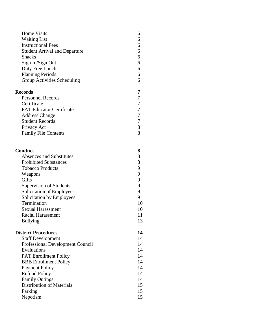| <b>Home Visits</b>                   | 6                |
|--------------------------------------|------------------|
| <b>Waiting List</b>                  | 6                |
| <b>Instructional Fees</b>            | 6                |
| <b>Student Arrival and Departure</b> | 6                |
| <b>Snacks</b>                        | 6                |
| Sign In/Sign Out                     | 6                |
| Duty Free Lunch                      | 6                |
| <b>Planning Periods</b>              | 6                |
| Group Activities Scheduling          | 6                |
| <b>Records</b>                       | 7                |
| <b>Personnel Records</b>             | 7                |
| Certificate                          | $\boldsymbol{7}$ |
| <b>PAT Educator Certificate</b>      | $\overline{7}$   |
| <b>Address Change</b>                | 7                |
| <b>Student Records</b>               | 7                |
| Privacy Act                          | 8                |
| <b>Family File Contents</b>          | 8                |
| Conduct                              | 8                |
| <b>Absences and Substitutes</b>      | 8                |
| <b>Prohibited Substances</b>         | 8                |
| <b>Tobacco Products</b>              | 9                |
| Weapons                              | 9                |
| Gifts                                | 9                |
| Supervision of Students              | 9                |
| Solicitation of Employees            | 9                |
| Solicitation by Employees            | 9                |
| Termination                          | 10               |
| <b>Sexual Harassment</b>             | 10               |
| <b>Racial Harassment</b>             | 11               |
| <b>Bullying</b>                      | 13               |
| <b>District Procedures</b>           | 14               |
| <b>Staff Development</b>             | 14               |
| Professional Development Council     | 14               |
| Evaluations                          | 14               |
| <b>PAT Enrollment Policy</b>         | 14               |
| <b>BBB</b> Enrollment Policy         | 14               |
| <b>Payment Policy</b>                | 14               |
| <b>Refund Policy</b>                 | 14               |
| <b>Family Outings</b>                | 14               |
| <b>Distribution of Materials</b>     | 15               |
| Parking                              | 15               |
| Nepotism                             | 15               |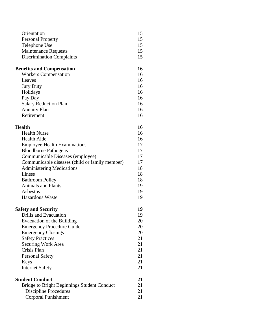| Orientation                      | 15 |
|----------------------------------|----|
| <b>Personal Property</b>         | 15 |
| Telephone Use                    | 15 |
| <b>Maintenance Requests</b>      | 15 |
| <b>Discrimination Complaints</b> | 15 |

# **Benefits and Compensation 16**

| <b>Workers Compensation</b>  |    |
|------------------------------|----|
| Leaves                       | 16 |
| <b>Jury Duty</b>             | 16 |
| Holidays                     | 16 |
| Pay Day                      | 16 |
| <b>Salary Reduction Plan</b> | 16 |
| <b>Annuity Plan</b>          | 16 |
| Retirement                   | 16 |
|                              |    |

## **Health 16**

| <b>Health Nurse</b>                            | 16 |
|------------------------------------------------|----|
| Health Aide                                    | 16 |
| <b>Employee Health Examinations</b>            | 17 |
| <b>Bloodborne Pathogens</b>                    | 17 |
| Communicable Diseases (employee)               | 17 |
| Communicable diseases (child or family member) | 17 |
| <b>Administering Medications</b>               | 18 |
| <b>Illness</b>                                 | 18 |
| <b>Bathroom Policy</b>                         | 18 |
| <b>Animals and Plants</b>                      | 19 |
| Asbestos                                       | 19 |
| Hazardous Waste                                | 19 |
|                                                |    |

## **Safety and Security 19**

| Drills and Evacuation            | 19 |
|----------------------------------|----|
| Evacuation of the Building       | 20 |
| <b>Emergency Procedure Guide</b> | 20 |
| <b>Emergency Closings</b>        | 20 |
| <b>Safety Practices</b>          | 21 |
| Securing Work Area               | 21 |
| Crisis Plan                      | 21 |
| <b>Personal Safety</b>           | 21 |
| Keys                             | 21 |
| <b>Internet Safety</b>           | 21 |
|                                  |    |

| <b>Student Conduct</b>                      | 21 |
|---------------------------------------------|----|
| Bridge to Bright Beginnings Student Conduct | 21 |
| Discipline Procedures                       | 21 |
| Corporal Punishment                         | 21 |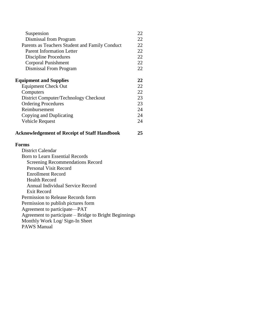| Suspension                                                                                | 22 |
|-------------------------------------------------------------------------------------------|----|
| Dismissal from Program                                                                    | 22 |
| Parents as Teachers Student and Family Conduct                                            | 22 |
| <b>Parent Information Letter</b>                                                          | 22 |
| <b>Discipline Procedures</b>                                                              | 22 |
| Corporal Punishment                                                                       | 22 |
| Dismissal From Program                                                                    | 22 |
| <b>Equipment and Supplies</b>                                                             | 22 |
| <b>Equipment Check Out</b>                                                                | 22 |
| Computers                                                                                 | 22 |
| District Computer/Technology Checkout                                                     | 23 |
| <b>Ordering Procedures</b>                                                                | 23 |
| Reimbursement                                                                             | 24 |
| Copying and Duplicating                                                                   | 24 |
| <b>Vehicle Request</b>                                                                    | 24 |
| <b>Acknowledgement of Receipt of Staff Handbook</b>                                       | 25 |
| <b>Forms</b>                                                                              |    |
| <b>District Calendar</b>                                                                  |    |
| <b>Born to Learn Essential Records</b>                                                    |    |
|                                                                                           |    |
| <b>Screening Recommendations Record</b>                                                   |    |
| <b>Personal Visit Record</b>                                                              |    |
| <b>Enrollment Record</b>                                                                  |    |
| <b>Health Record</b>                                                                      |    |
| <b>Annual Individual Service Record</b>                                                   |    |
| <b>Exit Record</b>                                                                        |    |
| Permission to Release Records form                                                        |    |
| Permission to publish pictures form                                                       |    |
| Agreement to participate—PAT                                                              |    |
| Agreement to participate – Bridge to Bright Beginnings<br>Monthly Work Log/ Sign-In Sheet |    |

PAWS Manual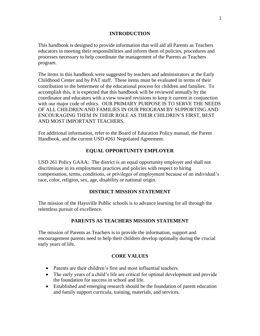## **INTRODUCTION**

This handbook is designed to provide information that will aid all Parents as Teachers educators in meeting their responsibilities and inform them of policies, procedures and processes necessary to help coordinate the management of the Parents as Teachers program.

The items in this handbook were suggested by teachers and administrators at the Early Childhood Center and by PAT staff. These items must be evaluated in terms of their contribution to the betterment of the educational process for children and families. To accomplish this, it is expected that this handbook will be reviewed annually by the coordinator and educators with a view toward revisions to keep it current in conjunction with our major code of ethics. OUR PRIMARY PURPOSE IS TO SERVE THE NEEDS OF ALL CHILDREN AND FAMILIES IN OUR PROGRAM BY SUPPORTING AND ENCOURAGING THEM IN THEIR ROLE AS THEIR CHILDREN'S FIRST, BEST AND MOST IMPORTANT TEACHERS.

For additional information, refer to the Board of Education Policy manual, the Parent Handbook, and the current USD #261 Negotiated Agreement.

## **EQUAL OPPORTUNITY EMPLOYER**

USD 261 Policy GAAA: The district is an equal opportunity employer and shall not discriminate in its employment practices and policies with respect to hiring compensation, terms, conditions, or privileges of employment because of an individual's race, color, religion, sex, age, disability or national origin.

## **DISTRICT MISSION STATEMENT**

The mission of the Haysville Public schools is to advance learning for all through the relentless pursuit of excellence.

## **PARENTS AS TEACHERS MISSION STATEMENT**

The mission of Parents as Teachers is to provide the information, support and encouragement parents need to help their children develop optimally during the crucial early years of life.

## **CORE VALUES**

- Parents are their children's first and most influential teachers.
- The early years of a child's life are critical for optimal development and provide the foundation for success in school and life.
- Established and emerging research should be the foundation of parent education and family support curricula, training, materials, and services.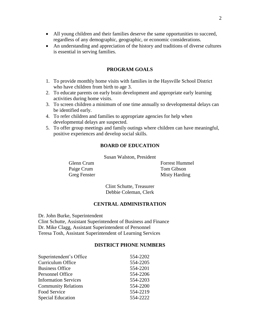- All young children and their families deserve the same opportunities to succeed, regardless of any demographic, geographic, or economic considerations.
- An understanding and appreciation of the history and traditions of diverse cultures is essential in serving families.

#### **PROGRAM GOALS**

- 1. To provide monthly home visits with families in the Haysville School District who have children from birth to age 3.
- 2. To educate parents on early brain development and appropriate early learning activities during home visits.
- 3. To screen children a minimum of one time annually so developmental delays can be identified early.
- 4. To refer children and families to appropriate agencies for help when developmental delays are suspected.
- 5. To offer group meetings and family outings where children can have meaningful, positive experiences and develop social skills.

#### **BOARD OF EDUCATION**

Susan Walston, President

Paige Crum Tom Gibson

Glenn Crum Forrest Hummel Greg Fenster Misty Harding

> Clint Schutte, Treasurer Debbie Coleman, Clerk

#### **CENTRAL ADMINISTRATION**

Dr. John Burke, Superintendent Clint Schutte, Assistant Superintendent of Business and Finance Dr. Mike Clagg, Assistant Superintendent of Personnel Teresa Tosh, Assistant Superintendent of Learning Services

#### **DISTRICT PHONE NUMBERS**

| Superintendent's Office     | 554-2202 |
|-----------------------------|----------|
| Curriculum Office           | 554-2205 |
| <b>Business Office</b>      | 554-2201 |
| Personnel Office            | 554-2206 |
| <b>Information Services</b> | 554-2203 |
| <b>Community Relations</b>  | 554-2200 |
| <b>Food Service</b>         | 554-2219 |
| <b>Special Education</b>    | 554-2222 |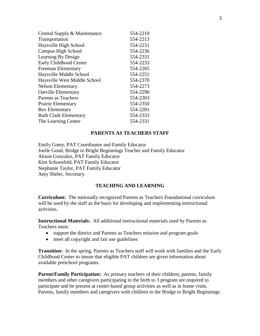| Central Supply & Maintenance  | 554-2210 |
|-------------------------------|----------|
| Transportation                | 554-2213 |
| Haysville High School         | 554-2231 |
| Campus High School            | 554-2236 |
| Learning By Design            | 554-2331 |
| <b>Early Childhood Center</b> | 554-2233 |
| Freeman Elementary            | 554-2265 |
| Haysville Middle School       | 554-2251 |
| Haysville West Middle School  | 554-2370 |
| <b>Nelson Elementary</b>      | 554-2273 |
| <b>Oatville Elementary</b>    | 554-2290 |
| Parents as Teachers           | 554-2303 |
| <b>Prairie Elementary</b>     | 554-2350 |
| <b>Rex Elementary</b>         | 554-2281 |
| <b>Ruth Clark Elementary</b>  | 554-2333 |
| The Learning Center           | 554-2331 |

#### **PARENTS AS TEACHERS STAFF**

Emily Goetz, PAT Coordinator and Family Educator Joelle Good, Bridge to Bright Beginnings Teacher and Family Educator Alison Gonzalez, PAT Family Educator Kim Schoenfeld, PAT Family Educator Stephanie Taylor, PAT Family Educator Amy Sheler, Secretary

#### **TEACHING AND LEARNING**

**Curriculum:** The nationally recognized Parents as Teachers Foundational curriculum will be used by the staff as the basis for developing and implementing instructional activities.

**Instructional Materials:** All additional instructional materials used by Parents as Teachers must:

- support the district and Parents as Teachers mission and program goals
- meet all copyright and fair use guidelines

**Transition:** In the spring, Parents as Teachers staff will work with families and the Early Childhood Center to insure that eligible PAT children are given information about available preschool programs.

**Parent/Family Participation:** As primary teachers of their children, parents, family members and other caregivers participating in the birth to 3 program are required to participate and be present at center-based group activities as well as in home visits. Parents, family members and caregivers with children in the Bridge to Bright Beginnings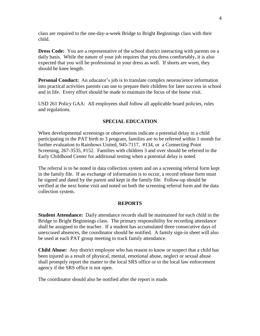class are required to the one-day-a-week Bridge to Bright Beginnings class with their child.

**Dress Code:** You are a representative of the school district interacting with parents on a daily basis. While the nature of your job requires that you dress comfortably, it is also expected that you will be professional in your dress as well. If shorts are worn, they should be knee length.

**Personal Conduct:** An educator's job is to translate complex neuroscience information into practical activities parents can use to prepare their children for later success in school and in life. Every effort should be made to maintain the focus of the home visit.

USD 261 Policy GAA: All employees shall follow all applicable board policies, rules and regulations.

#### **SPECIAL EDUCATION**

When developmental screenings or observations indicate a potential delay in a child participating in the PAT birth to 3 program, families are to be referred within 1 month for further evaluation to Rainbows United, 945-7117, #134, or a Connecting Point Screening, 267-3535, #152. Families with children 3 and over should be referred to the Early Childhood Center for additional testing when a potential delay is noted.

The referral is to be noted in data collection system and on a screening referral form kept in the family file. If an exchange of information is to occur, a record release form must be signed and dated by the parent and kept in the family file. Follow-up should be verified at the next home visit and noted on both the screening referral form and the data collection system.

#### **REPORTS**

**Student Attendance:** Daily attendance records shall be maintained for each child in the Bridge to Bright Beginnings class. The primary responsibility for recording attendance shall be assigned to the teacher. If a student has accumulated three consecutive days of unexcused absences, the coordinator should be notified. A family sign-in sheet will also be used at each PAT group meeting to track family attendance.

**Child Abuse:** Any district employee who has reason to know or suspect that a child has been injured as a result of physical, mental, emotional abuse, neglect or sexual abuse shall promptly report the matter to the local SRS office or to the local law enforcement agency if the SRS office is not open.

The coordinator should also be notified after the report is made.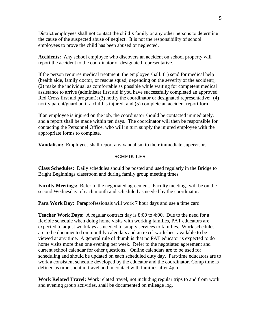District employees shall not contact the child's family or any other persons to determine the cause of the suspected abuse of neglect. It is not the responsibility of school employees to prove the child has been abused or neglected.

**Accidents:** Any school employee who discovers an accident on school property will report the accident to the coordinator or designated representative.

If the person requires medical treatment, the employee shall: (1) send for medical help (health aide, family doctor, or rescue squad, depending on the severity of the accident); (2) make the individual as comfortable as possible while waiting for competent medical assistance to arrive (administer first aid if you have successfully completed an approved Red Cross first aid program); (3) notify the coordinator or designated representative; (4) notify parent/guardian if a child is injured; and (5) complete an accident report form.

If an employee is injured on the job, the coordinator should be contacted immediately, and a report shall be made within ten days. The coordinator will then be responsible for contacting the Personnel Office, who will in turn supply the injured employee with the appropriate forms to complete.

**Vandalism:** Employees shall report any vandalism to their immediate supervisor.

#### **SCHEDULES**

**Class Schedules:** Daily schedules should be posted and used regularly in the Bridge to Bright Beginnings classroom and during family group meeting times.

**Faculty Meetings:** Refer to the negotiated agreement. Faculty meetings will be on the second Wednesday of each month and scheduled as needed by the coordinator.

**Para Work Day:** Paraprofessionals will work 7 hour days and use a time card.

**Teacher Work Days:** A regular contract day is 8:00 to 4:00. Due to the need for a flexible schedule when doing home visits with working families, PAT educators are expected to adjust workdays as needed to supply services to families. Work schedules are to be documented on monthly calendars and an excel worksheet available to be viewed at any time. A general rule of thumb is that no PAT educator is expected to do home visits more than one evening per week. Refer to the negotiated agreement and current school calendar for other questions. Online calendars are to be used for scheduling and should be updated on each scheduled duty day. Part-time educators are to work a consistent schedule developed by the educator and the coordinator. Comp time is defined as time spent in travel and in contact with families after 4p.m.

**Work Related Travel:** Work related travel, not including regular trips to and from work and evening group activities, shall be documented on mileage log.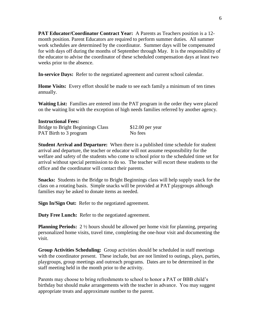**PAT Educator/Coordinator Contract Year:** A Parents as Teachers position is a 12 month position. Parent Educators are required to perform summer duties. All summer work schedules are determined by the coordinator. Summer days will be compensated for with days off during the months of September through May. It is the responsibility of the educator to advise the coordinator of these scheduled compensation days at least two weeks prior to the absence.

**In-service Days:** Refer to the negotiated agreement and current school calendar.

**Home Visits:** Every effort should be made to see each family a minimum of ten times annually.

**Waiting List:** Families are entered into the PAT program in the order they were placed on the waiting list with the exception of high needs families referred by another agency.

| <b>Instructional Fees:</b>               |                   |
|------------------------------------------|-------------------|
| <b>Bridge to Bright Beginnings Class</b> | $$12.00$ per year |
| <b>PAT Birth to 3 program</b>            | No fees           |

**Student Arrival and Departure:** When there is a published time schedule for student arrival and departure, the teacher or educator will not assume responsibility for the welfare and safety of the students who come to school prior to the scheduled time set for arrival without special permission to do so. The teacher will escort these students to the office and the coordinator will contact their parents.

**Snacks:** Students in the Bridge to Bright Beginnings class will help supply snack for the class on a rotating basis. Simple snacks will be provided at PAT playgroups although families may be asked to donate items as needed.

**Sign In/Sign Out:** Refer to the negotiated agreement.

**Duty Free Lunch:** Refer to the negotiated agreement.

**Planning Periods:** 2 <sup>1</sup>/<sub>2</sub> hours should be allowed per home visit for planning, preparing personalized home visits, travel time, completing the one-hour visit and documenting the visit.

**Group Activities Scheduling:** Group activities should be scheduled in staff meetings with the coordinator present. These include, but are not limited to outings, plays, parties, playgroups, group meetings and outreach programs. Dates are to be determined in the staff meeting held in the month prior to the activity.

Parents may choose to bring refreshments to school to honor a PAT or BBB child's birthday but should make arrangements with the teacher in advance. You may suggest appropriate treats and approximate number to the parent.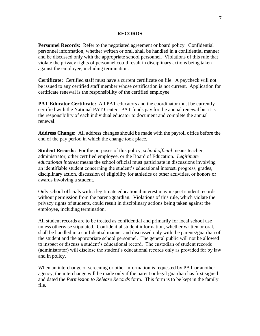#### **RECORDS**

**Personnel Records:** Refer to the negotiated agreement or board policy. Confidential personnel information, whether written or oral, shall be handled in a confidential manner and be discussed only with the appropriate school personnel. Violations of this rule that violate the privacy rights of personnel could result in disciplinary actions being taken against the employee, including termination.

**Certificate:** Certified staff must have a current certificate on file. A paycheck will not be issued to any certified staff member whose certification is not current. Application for certificate renewal is the responsibility of the certified employee.

**PAT Educator Certificate:** All PAT educators and the coordinator must be currently certified with the National PAT Center. PAT funds pay for the annual renewal but it is the responsibility of each individual educator to document and complete the annual renewal.

**Address Change:** All address changes should be made with the payroll office before the end of the pay period in which the change took place.

**Student Records:** For the purposes of this policy, *school official* means teacher, administrator, other certified employee, or the Board of Education. *Legitimate educational interest* means the school official must participate in discussions involving an identifiable student concerning the student's educational interest, progress, grades, disciplinary action, discussion of eligibility for athletics or other activities, or honors or awards involving a student.

Only school officials with a legitimate educational interest may inspect student records without permission from the parent/guardian. Violations of this rule, which violate the privacy rights of students, could result in disciplinary actions being taken against the employee, including termination.

All student records are to be treated as confidential and primarily for local school use unless otherwise stipulated. Confidential student information, whether written or oral, shall be handled in a confidential manner and discussed only with the parents/guardian of the student and the appropriate school personnel. The general public will not be allowed to inspect or discuss a student's educational record. The custodian of student records (administrator) will disclose the student's educational records only as provided for by law and in policy.

When an interchange of screening or other information is requested by PAT or another agency, the interchange will be made only if the parent or legal guardian has first signed and dated the *Permission to Release Records* form. This form is to be kept in the family file.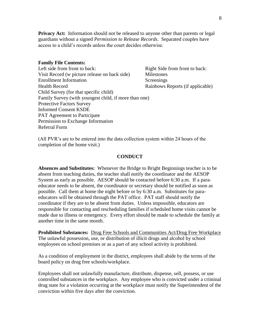**Privacy Act:** Information should not be released to anyone other than parents or legal guardians without a signed *Permission to Release Records*. Separated couples have access to a child's records unless the court decides otherwise.

#### **Family File Contents:**

Left side from front to back:<br>
Right Side from front to back: Visit Record (w picture release on back side) Milestones Enrollment Information Screenings Health Record Rainbows Reports (if applicable) Child Survey (for that specific child) Family Survey (with youngest child, if more than one) Protective Factors Survey Informed Consent KSDE PAT Agreement to Participate Permission to Exchange Information Referral Form

(All PVR's are to be entered into the data collection system within 24 hours of the completion of the home visit.)

#### **CONDUCT**

**Absences and Substitutes:** Whenever the Bridge to Bright Beginnings teacher is to be absent from teaching duties, the teacher shall notify the coordinator and the AESOP System as early as possible. AESOP should be contacted before 6:30 a.m. If a paraeducator needs to be absent, the coordinator or secretary should be notified as soon as possible. Call them at home the night before or by 6:30 a.m. Substitutes for paraeducators will be obtained through the PAT office. PAT staff should notify the coordinator if they are to be absent from duties. Unless impossible, educators are responsible for contacting and rescheduling families if scheduled home visits cannot be made due to illness or emergency. Every effort should be made to schedule the family at another time in the same month.

**Prohibited Substances:** Drug Free Schools and Communities Act/Drug Free Workplace The unlawful possession, use, or distribution of illicit drugs and alcohol by school employees on school premises or as a part of any school activity is prohibited.

As a condition of employment in the district, employees shall abide by the terms of the board policy on drug free schools/workplace.

Employees shall not unlawfully manufacture, distribute, dispense, sell, possess, or use controlled substances in the workplace. Any employee who is convicted under a criminal drug state for a violation occurring at the workplace must notify the Superintendent of the conviction within five days after the conviction.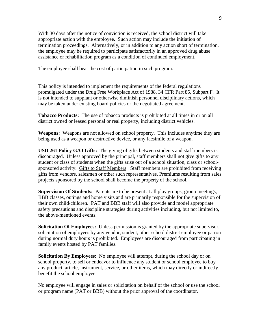With 30 days after the notice of conviction is received, the school district will take appropriate action with the employee. Such action may include the initiation of termination proceedings. Alternatively, or in addition to any action short of termination, the employee may be required to participate satisfactorily in an approved drug abuse assistance or rehabilitation program as a condition of continued employment.

The employee shall bear the cost of participation in such program.

This policy is intended to implement the requirements of the federal regulations promulgated under the Drug Free Workplace Act of 1988, 34 CFR Part 85, Subpart F. It is not intended to supplant or otherwise diminish personnel disciplinary actions, which may be taken under existing board policies or the negotiated agreement.

**Tobacco Products:** The use of tobacco products is prohibited at all times in or on all district owned or leased personal or real property, including district vehicles.

**Weapons:** Weapons are not allowed on school property. This includes anytime they are being used as a weapon or destructive device, or any facsimile of a weapon.

**USD 261 Policy GAJ Gifts:** The giving of gifts between students and staff members is discouraged. Unless approved by the principal, staff members shall not give gifts to any student or class of students when the gifts arise out of a school situation, class or schoolsponsored activity. Gifts to Staff Members: Staff members are prohibited from receiving gifts from vendors, salesmen or other such representatives. Premiums resulting from sales projects sponsored by the school shall become the property of the school.

**Supervision Of Students:** Parents are to be present at all play groups, group meetings, BBB classes, outings and home visits and are primarily responsible for the supervision of their own child/children. PAT and BBB staff will also provide and model appropriate safety precautions and discipline strategies during activities including, but not limited to, the above-mentioned events.

**Solicitation Of Employees:** Unless permission is granted by the appropriate supervisor, solicitation of employees by any vendor, student, other school district employee or patron during normal duty hours is prohibited. Employees are discouraged from participating in family events hosted by PAT families.

**Solicitation By Employees:** No employee will attempt, during the school day or on school property, to sell or endeavor to influence any student or school employee to buy any product, article, instrument, service, or other items, which may directly or indirectly benefit the school employee.

No employee will engage in sales or solicitation on behalf of the school or use the school or program name (PAT or BBB) without the prior approval of the coordinator.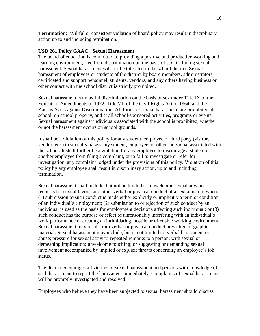**Termination:** Willful or consistent violation of board policy may result in disciplinary action up to and including termination.

## **USD 261 Policy GAAC: Sexual Harassment**

The board of education is committed to providing a positive and productive working and learning environment, free from discrimination on the basis of sex, including sexual harassment. Sexual harassment will not be tolerated in the school district. Sexual harassment of employees or students of the district by board members, administrators, certificated and support personnel, students, vendors, and any others having business or other contact with the school district is strictly prohibited.

Sexual harassment is unlawful discrimination on the basis of sex under Title IX of the Education Amendments of 1972, Title VII of the Civil Rights Act of 1964, and the Kansas Acts Against Discrimination. All forms of sexual harassment are prohibited at school, on school property, and at all school-sponsored activities, programs or events. Sexual harassment against individuals associated with the school is prohibited, whether or not the harassment occurs on school grounds.

It shall be a violation of this policy for any student, employee or third party (visitor, vendor, etc.) to sexually harass any student, employee, or other individual associated with the school. It shall further be a violation for any employee to discourage a student or another employee from filing a complaint, or to fail to investigate or refer for investigation, any complaint lodged under the provisions of this policy. Violation of this policy by any employee shall result in disciplinary action, up to and including termination.

Sexual harassment shall include, but not be limited to, unwelcome sexual advances, requests for sexual favors, and other verbal or physical conduct of a sexual nature when: (1) submission to such conduct is made either explicitly or implicitly a term or condition of an individual's employment; (2) submission to or rejection of such conduct by an individual is used as the basis for employment decisions affecting such individual; or (3) such conduct has the purpose or effect of unreasonably interfering with an individual's work performance or creating an intimidating, hostile or offensive working environment. Sexual harassment may result from verbal or physical conduct or written or graphic material. Sexual harassment may include, but is not limited to: verbal harassment or abuse; pressure for sexual activity; repeated remarks to a person, with sexual or demeaning implication; unwelcome touching; or suggesting or demanding sexual involvement accompanied by implied or explicit threats concerning an employee's job status.

The district encourages all victims of sexual harassment and persons with knowledge of such harassment to report the harassment immediately. Complaints of sexual harassment will be promptly investigated and resolved.

Employees who believe they have been subjected to sexual harassment should discuss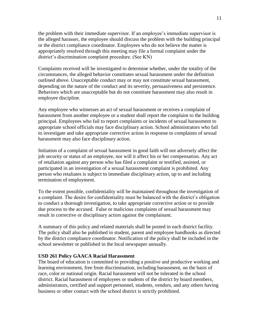the problem with their immediate supervisor. If an employee's immediate supervisor is the alleged harasser, the employee should discuss the problem with the building principal or the district compliance coordinator. Employees who do not believe the matter is appropriately resolved through this meeting may file a formal complaint under the district's discrimination complaint procedure. (See KN)

Complaints received will be investigated to determine whether, under the totality of the circumstances, the alleged behavior constitutes sexual harassment under the definition outlined above. Unacceptable conduct may or may not constitute sexual harassment, depending on the nature of the conduct and its severity, persuasiveness and persistence. Behaviors which are unacceptable but do not constitute harassment may also result in employee discipline.

Any employee who witnesses an act of sexual harassment or receives a complaint of harassment from another employee or a student shall report the complaint to the building principal. Employees who fail to report complaints or incidents of sexual harassment to appropriate school officials may face disciplinary action. School administrators who fail to investigate and take appropriate corrective action in response to complaints of sexual harassment may also face disciplinary action.

Initiation of a complaint of sexual harassment in good faith will not adversely affect the job security or status of an employee, nor will it affect his or her compensation. Any act of retaliation against any person who has filed a complaint or testified, assisted, or participated in an investigation of a sexual harassment complaint is prohibited. Any person who retaliates is subject to immediate disciplinary action, up to and including termination of employment.

To the extent possible, confidentiality will be maintained throughout the investigation of a complaint. The desire for confidentiality must be balanced with the district's obligation to conduct a thorough investigation, to take appropriate corrective action or to provide due process to the accused. False or malicious complaints of sexual harassment may result in corrective or disciplinary action against the complainant.

A summary of this policy and related materials shall be posted in each district facility. The policy shall also be published in student, parent and employee handbooks as directed by the district compliance coordinator. Notification of the policy shall be included in the school newsletter or published in the local newspaper annually.

#### **USD 261 Policy GAACA Racial Harassment**

The board of education is committed to providing a positive and productive working and learning environment, free from discrimination, including harassment, on the basis of race, color or national origin. Racial harassment will not be tolerated in the school district. Racial harassment of employees or students of the district by board members, administrators, certified and support personnel, students, vendors, and any others having business or other contact with the school district is strictly prohibited.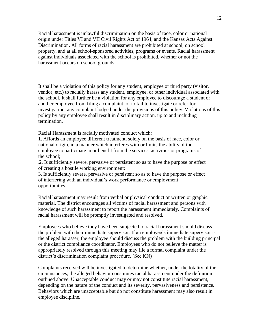Racial harassment is unlawful discrimination on the basis of race, color or national origin under Titles VI and VII Civil Rights Act of 1964, and the Kansas Acts Against Discrimination. All forms of racial harassment are prohibited at school, on school property, and at all school-sponsored activities, programs or events. Racial harassment against individuals associated with the school is prohibited, whether or not the harassment occurs on school grounds.

It shall be a violation of this policy for any student, employee or third party (visitor, vendor, etc.) to racially harass any student, employee, or other individual associated with the school. It shall further be a violation for any employee to discourage a student or another employee from filing a complaint, or to fail to investigate or refer for investigation, any complaint lodged under the provisions of this policy. Violations of this policy by any employee shall result in disciplinary action, up to and including termination.

Racial Harassment is racially motivated conduct which:

**1.** Affords an employee different treatment, solely on the basis of race, color or national origin, in a manner which interferes with or limits the ability of the employee to participate in or benefit from the services, activities or programs of the school;

.2. Is sufficiently severe, pervasive or persistent so as to have the purpose or effect of creating a hostile working environment;

3. Is sufficiently severe, pervasive or persistent so as to have the purpose or effect of interfering with an individual's work performance or employment opportunities.

Racial harassment may result from verbal or physical conduct or written or graphic material. The district encourages all victims of racial harassment and persons with knowledge of such harassment to report the harassment immediately. Complaints of racial harassment will be promptly investigated and resolved.

Employees who believe they have been subjected to racial harassment should discuss the problem with their immediate supervisor. If an employee's immediate supervisor is the alleged harasser, the employee should discuss the problem with the building principal or the district compliance coordinator. Employees who do not believe the matter is appropriately resolved through this meeting may file a formal complaint under the district's discrimination complaint procedure. (See KN)

Complaints received will be investigated to determine whether, under the totality of the circumstances, the alleged behavior constitutes racial harassment under the definition outlined above. Unacceptable conduct may or may not constitute racial harassment, depending on the nature of the conduct and its severity, pervasiveness and persistence. Behaviors which are unacceptable but do not constitute harassment may also result in employee discipline.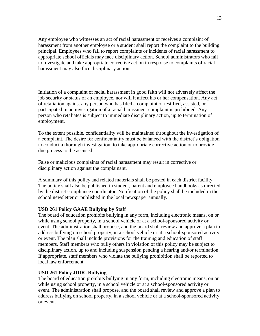Any employee who witnesses an act of racial harassment or receives a complaint of harassment from another employee or a student shall report the complaint to the building principal. Employees who fail to report complaints or incidents of racial harassment to appropriate school officials may face disciplinary action. School administrators who fail to investigate and take appropriate corrective action in response to complaints of racial harassment may also face disciplinary action.

Initiation of a complaint of racial harassment in good faith will not adversely affect the job security or status of an employee, nor will it affect his or her compensation. Any act of retaliation against any person who has filed a complaint or testified, assisted, or participated in an investigation of a racial harassment complaint is prohibited. Any person who retaliates is subject to immediate disciplinary action, up to termination of employment.

To the extent possible, confidentiality will be maintained throughout the investigation of a complaint. The desire for confidentiality must be balanced with the district's obligation to conduct a thorough investigation, to take appropriate corrective action or to provide due process to the accused.

False or malicious complaints of racial harassment may result in corrective or disciplinary action against the complainant.

A summary of this policy and related materials shall be posted in each district facility. The policy shall also be published in student, parent and employee handbooks as directed by the district compliance coordinator. Notification of the policy shall be included in the school newsletter or published in the local newspaper annually.

## **USD 261 Policy GAAE Bullying by Staff**

The board of education prohibits bullying in any form, including electronic means, on or while using school property, in a school vehicle or at a school-sponsored activity or event. The administration shall propose, and the board shall review and approve a plan to address bullying on school property, in a school vehicle or at a school-sponsored activity or event. The plan shall include provisions for the training and education of staff members. Staff members who bully others in violation of this policy may be subject to disciplinary action, up to and including suspension pending a hearing and/or termination. If appropriate, staff members who violate the bullying prohibition shall be reported to local law enforcement.

#### **USD 261 Policy JDDC Bullying**

The board of education prohibits bullying in any form, including electronic means, on or while using school property, in a school vehicle or at a school-sponsored activity or event. The administration shall propose, and the board shall review and approve a plan to address bullying on school property, in a school vehicle or at a school-sponsored activity or event.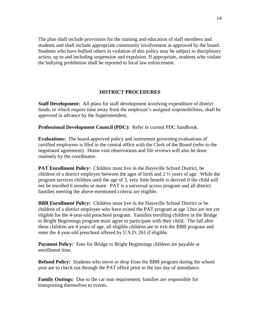The plan shall include provisions for the training and education of staff members and students and shall include appropriate community involvement as approved by the board. Students who have bullied others in violation of this policy may be subject to disciplinary action, up to and including suspension and expulsion. If appropriate, students who violate the bullying prohibition shall be reported to local law enforcement.

## **DISTRICT PROCEDURES**

**Staff Development:** All plans for staff development involving expenditure of district funds, or which require time away from the employee's assigned responsibilities, shall be approved in advance by the Superintendent.

**Professional Development Council (PDC):** Refer to current PDC handbook.

**Evaluations:** The board-approved policy and instrument governing evaluations of certified employees is filed in the central office with the Clerk of the Board (refer to the negotiated agreement). Home visit observations and file reviews will also be done routinely by the coordinator.

**PAT Enrollment Policy:** Children must live in the Haysville School District, be children of a district employee between the ages of birth and 2 ½ years of age. While the program services children until the age of 3, very little benefit is derived if the child will not be enrolled 6 months or more. PAT is a universal access program and all district families meeting the above-mentioned criteria are eligible.

**BBB Enrollment Policy:** Children must live in the Haysville School District or be children of a district employee who have exited the PAT program at age 3 but are not yet eligible for the 4-year-old preschool program. Families enrolling children in the Bridge to Bright Beginnings program must agree to participate with their child. The fall after these children are 4 years of age, all eligible children are to exit the BBB program and enter the 4-year-old preschool offered by U.S.D. 261 if eligible.

**Payment Policy:** Fees for Bridge to Bright Beginnings children are payable at enrollment time.

**Refund Policy:** Students who move or drop from the BBB program during the school year are to check out through the PAT office prior to the last day of attendance.

**Family Outings:** Due to the car seat requirement, families are responsible for transporting themselves to events.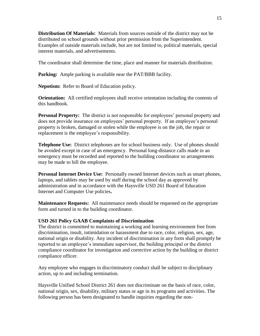**Distribution Of Materials:** Materials from sources outside of the district may not be distributed on school grounds without prior permission from the Superintendent. Examples of outside materials include, but are not limited to, political materials, special interest materials, and advertisements.

The coordinator shall determine the time, place and manner for materials distribution.

**Parking:** Ample parking is available near the PAT/BBB facility.

**Nepotism:** Refer to Board of Education policy.

**Orientation:** All certified employees shall receive orientation including the contents of this handbook.

**Personal Property:** The district is not responsible for employees' personal property and does not provide insurance on employees' personal property. If an employee's personal property is broken, damaged or stolen while the employee is on the job, the repair or replacement is the employee's responsibility.

**Telephone Use:** District telephones are for school business only. Use of phones should be avoided except in case of an emergency. Personal long-distance calls made in an emergency must be recorded and reported to the building coordinator so arrangements may be made to bill the employee.

**Personal Internet Device Use:** Personally owned Internet devices such as smart phones, laptops, and tablets may be used by staff during the school day as approved by administration and in accordance with the Haysville USD 261 Board of Education Internet and Computer Use policies**.** 

**Maintenance Requests:** All maintenance needs should be requested on the appropriate form and turned in to the building coordinator.

## **USD 261 Policy GAAB Complaints of Discrimination**

The district is committed to maintaining a working and learning environment free from discrimination, insult, intimidation or harassment due to race, color, religion, sex, age, national origin or disability. Any incident of discrimination in any form shall promptly be reported to an employee's immediate supervisor, the building principal or the district compliance coordinator for investigation and corrective action by the building or district compliance officer.

Any employee who engages in discriminatory conduct shall be subject to disciplinary action, up to and including termination.

Haysville Unified School District 261 does not discriminate on the basis of race, color, national origin, sex, disability, military status or age in its programs and activities. The following person has been designated to handle inquiries regarding the non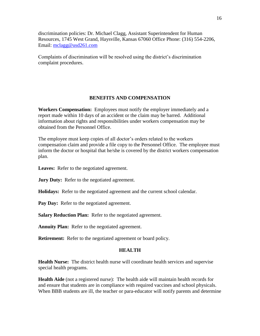discrimination policies: Dr. Michael Clagg, Assistant Superintendent for Human Resources, 1745 West Grand, Haysville, Kansas 67060 Office Phone: (316) 554-2206, Email: [mclagg@usd261.com](mailto:mclagg@usd261.com)

Complaints of discrimination will be resolved using the district's discrimination complaint procedures.

## **BENEFITS AND COMPENSATION**

**Workers Compensation:** Employees must notify the employer immediately and a report made within 10 days of an accident or the claim may be barred. Additional information about rights and responsibilities under workers compensation may be obtained from the Personnel Office.

The employee must keep copies of all doctor's orders related to the workers compensation claim and provide a file copy to the Personnel Office. The employee must inform the doctor or hospital that he/she is covered by the district workers compensation plan.

Leaves: Refer to the negotiated agreement.

**Jury Duty:** Refer to the negotiated agreement.

**Holidays:** Refer to the negotiated agreement and the current school calendar.

Pay Day: Refer to the negotiated agreement.

**Salary Reduction Plan:** Refer to the negotiated agreement.

**Annuity Plan:** Refer to the negotiated agreement.

**Retirement:** Refer to the negotiated agreement or board policy.

#### **HEALTH**

**Health Nurse:** The district health nurse will coordinate health services and supervise special health programs.

**Health Aide** (not a registered nurse): The health aide will maintain health records for and ensure that students are in compliance with required vaccines and school physicals. When BBB students are ill, the teacher or para-educator will notify parents and determine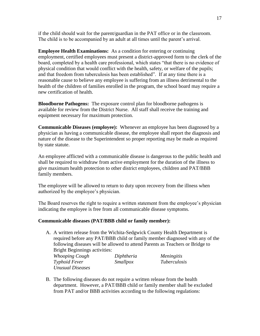if the child should wait for the parent/guardian in the PAT office or in the classroom. The child is to be accompanied by an adult at all times until the parent's arrival.

**Employee Health Examinations:** As a condition for entering or continuing employment, certified employees must present a district-approved form to the clerk of the board, completed by a health care professional, which states "that there is no evidence of physical condition that would conflict with the health, safety, or welfare of the pupils; and that freedom from tuberculosis has been established". If at any time there is a reasonable cause to believe any employee is suffering from an illness detrimental to the health of the children of families enrolled in the program, the school board may require a new certification of health.

**Bloodborne Pathogens:** The exposure control plan for bloodborne pathogens is available for review from the District Nurse. All staff shall receive the training and equipment necessary for maximum protection.

**Communicable Diseases (employee):** Whenever an employee has been diagnosed by a physician as having a communicable disease, the employee shall report the diagnosis and nature of the disease to the Superintendent so proper reporting may be made as required by state statute.

An employee afflicted with a communicable disease is dangerous to the public health and shall be required to withdraw from active employment for the duration of the illness to give maximum health protection to other district employees, children and PAT/BBB family members.

The employee will be allowed to return to duty upon recovery from the illness when authorized by the employee's physician.

The Board reserves the right to require a written statement from the employee's physician indicating the employee is free from all communicable disease symptoms.

## **Communicable diseases (PAT/BBB child or family member):**

A. A written release from the Wichita-Sedgwick County Health Department is required before any PAT/BBB child or family member diagnosed with any of the following diseases will be allowed to attend Parents as Teachers or Bridge to Bright Beginnings activities:

*Whooping Cough Diphtheria Meningitis Typhoid Fever Smallpox Tuberculosis Unusual Diseases*

B. The following diseases do not require a written release from the health department. However, a PAT/BBB child or family member shall be excluded from PAT and/or BBB activities according to the following regulations: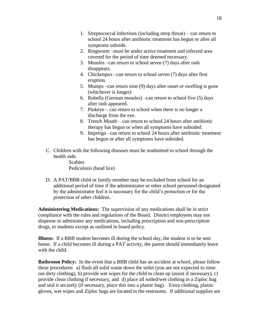- 1. Streptococcal infections (including strep throat) can return to school 24 hours after antibiotic treatment has begun or after all symptoms subside.
- 2. Ringworm –must be under active treatment and infected area covered for the period of time deemed necessary.
- 3. Measles –can return to school seven (7) days after rash disappears.
- 4. Chickenpox –can return to school seven (7) days after first eruption.
- 5. Mumps –can return nine (9) days after onset or swelling is gone (whichever is longer)
- 6. Rubella (German measles) –can return to school five (5) days after rash appeared.
- 7. Pinkeye can return to school when there is no longer a discharge from the eye.
- 8. Trench Mouth can return to school 24 hours after antibiotic therapy has begun or when all symptoms have subsided.
- 9. Impetigo –can return to school 24 hours after antibiotic treatment has begun or after all symptoms have subsided.
- C. Children with the following diseases must be readmitted to school through the health aide.

**Scabies** Pediculosis (head lice)

D. A PAT/BBB child or family member may be excluded from school for an additional period of time if the administrator or other school personnel designated by the administrator feel it is necessary for the child's protection or for the protection of other children.

**Administering Medications:** The supervision of any medications shall be in strict compliance with the rules and regulations of the Board. District employees may not dispense or administer any medications, including prescription and non-prescription drugs, to students except as outlined in board policy.

**Illness:** If a BBB student becomes ill during the school day, the student is to be sent home. If a child becomes ill during a PAT activity, the parent should immediately leave with the child.

**Bathroom Policy:** In the event that a BBB child has an accident at school, please follow these procedures: a) flush all solid waste down the toilet (you are not expected to rinse out dirty clothing), b) provide wet wipes for the child to clean up (assist if necessary), c) provide clean clothing if necessary, and d) place all soiled/wet clothing in a Ziploc bag and seal it securely (if necessary, place this into a plastic bag). Extra clothing, plastic gloves, wet wipes and Ziploc bags are located in the restrooms. If additional supplies are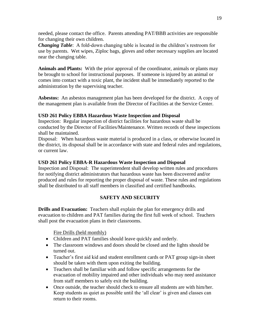needed, please contact the office. Parents attending PAT/BBB activities are responsible for changing their own children.

*Changing Table*: A fold-down changing table is located in the children's restroom for use by parents. Wet wipes, Ziploc bags, gloves and other necessary supplies are located near the changing table.

**Animals and Plants:** With the prior approval of the coordinator, animals or plants may be brought to school for instructional purposes. If someone is injured by an animal or comes into contact with a toxic plant, the incident shall be immediately reported to the administration by the supervising teacher.

**Asbestos:** An asbestos management plan has been developed for the district. A copy of the management plan is available from the Director of Facilities at the Service Center.

## **USD 261 Policy EBBA Hazardous Waste Inspection and Disposal**

Inspection: Regular inspection of district facilities for hazardous waste shall be conducted by the Director of Facilities/Maintenance. Written records of these inspections shall be maintained.

Disposal: When hazardous waste material is produced in a class, or otherwise located in the district, its disposal shall be in accordance with state and federal rules and regulations, or current law.

## **USD 261 Policy EBBA-R Hazardous Waste Inspection and Disposal**

Inspection and Disposal: The superintendent shall develop written rules and procedures for notifying district administrators that hazardous waste has been discovered and/or produced and rules for reporting the proper disposal of waste. These rules and regulations shall be distributed to all staff members in classified and certified handbooks.

## **SAFETY AND SECURITY**

**Drills and Evacuation:** Teachers shall explain the plan for emergency drills and evacuation to children and PAT families during the first full week of school. Teachers shall post the evacuation plans in their classrooms.

Fire Drills (held monthly)

- Children and PAT families should leave quickly and orderly.
- The classroom windows and doors should be closed and the lights should be turned out.
- Teacher's first aid kid and student enrollment cards or PAT group sign-in sheet should be taken with them upon exiting the building.
- Teachers shall be familiar with and follow specific arrangements for the evacuation of mobility impaired and other individuals who may need assistance from staff members to safely exit the building.
- Once outside, the teacher should check to ensure all students are with him/her. Keep students as quiet as possible until the 'all clear' is given and classes can return to their rooms.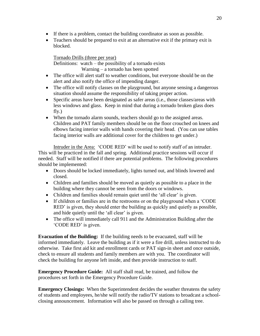- If there is a problem, contact the building coordinator as soon as possible.
- Teachers should be prepared to exit at an alternative exit if the primary exit is blocked.

Tornado Drills (three per year) Definitions: watch – the possibility of a tornado exists Warning – a tornado has been spotted

- The office will alert staff to weather conditions, but everyone should be on the alert and also notify the office of impending danger.
- The office will notify classes on the playground, but anyone sensing a dangerous situation should assume the responsibility of taking proper action.
- Specific areas have been designated as safer areas (i.e., those classes/areas with less windows and glass. Keep in mind that during a tornado broken glass does fly.)
- When the tornado alarm sounds, teachers should go to the assigned areas. Children and PAT family members should be on the floor crouched on knees and elbows facing interior walls with hands covering their head. (You can use tables facing interior walls are additional cover for the children to get under.)

Intruder in the Area: 'CODE RED' will be used to notify staff of an intruder. This will be practiced in the fall and spring. Additional practice sessions will occur if needed. Staff will be notified if there are potential problems. The following procedures should be implemented:

- Doors should be locked immediately, lights turned out, and blinds lowered and closed.
- Children and families should be moved as quietly as possible to a place in the building where they cannot be seen from the doors or windows.
- Children and families should remain quiet until the 'all clear' is given.
- If children or families are in the restrooms or on the playground when a 'CODE RED' is given, they should enter the building as quickly and quietly as possible, and hide quietly until the 'all clear' is given.
- The office will immediately call 911 and the Administration Building after the 'CODE RED' is given.

**Evacuation of the Building:** If the building needs to be evacuated, staff will be informed immediately. Leave the building as if it were a fire drill, unless instructed to do otherwise. Take first aid kit and enrollment cards or PAT sign-in sheet and once outside, check to ensure all students and family members are with you. The coordinator will check the building for anyone left inside, and then provide instruction to staff.

**Emergency Procedure Guide:** All staff shall read, be trained, and follow the procedures set forth in the Emergency Procedure Guide.

**Emergency Closings:** When the Superintendent decides the weather threatens the safety of students and employees, he/she will notify the radio/TV stations to broadcast a schoolclosing announcement. Information will also be passed on through a calling tree.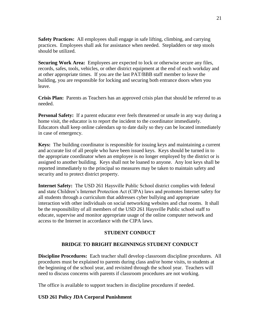**Safety Practices:** All employees shall engage in safe lifting, climbing, and carrying practices. Employees shall ask for assistance when needed. Stepladders or step stools should be utilized.

**Securing Work Area:** Employees are expected to lock or otherwise secure any files, records, safes, tools, vehicles, or other district equipment at the end of each workday and at other appropriate times. If you are the last PAT/BBB staff member to leave the building, you are responsible for locking and securing both entrance doors when you leave.

**Crisis Plan:** Parents as Teachers has an approved crisis plan that should be referred to as needed.

**Personal Safety:** If a parent educator ever feels threatened or unsafe in any way during a home visit, the educator is to report the incident to the coordinator immediately. Educators shall keep online calendars up to date daily so they can be located immediately in case of emergency.

**Keys:** The building coordinator is responsible for issuing keys and maintaining a current and accurate list of all people who have been issued keys. Keys should be turned in to the appropriate coordinator when an employee is no longer employed by the district or is assigned to another building. Keys shall not be loaned to anyone. Any lost keys shall be reported immediately to the principal so measures may be taken to maintain safety and security and to protect district property.

**Internet Safety:** The USD 261 Haysville Public School district complies with federal and state Children's Internet Protection Act (CIPA) laws and promotes Internet safety for all students through a curriculum that addresses cyber bullying and appropriate interaction with other individuals on social networking websites and chat rooms. It shall be the responsibility of all members of the USD 261 Haysville Public school staff to educate, supervise and monitor appropriate usage of the online computer network and access to the Internet in accordance with the CIPA laws.

## **STUDENT CONDUCT**

## **BRIDGE TO BRIGHT BEGINNINGS STUDENT CONDUCT**

**Discipline Procedures:** Each teacher shall develop classroom discipline procedures. All procedures must be explained to parents during class and/or home visits, to students at the beginning of the school year, and revisited through the school year. Teachers will need to discuss concerns with parents if classroom procedures are not working.

The office is available to support teachers in discipline procedures if needed.

#### **USD 261 Policy JDA Corporal Punishment**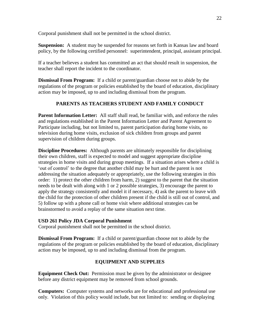Corporal punishment shall not be permitted in the school district.

**Suspension:** A student may be suspended for reasons set forth in Kansas law and board policy, by the following certified personnel: superintendent, principal, assistant principal.

If a teacher believes a student has committed an act that should result in suspension, the teacher shall report the incident to the coordinator.

**Dismissal From Program:** If a child or parent/guardian choose not to abide by the regulations of the program or policies established by the board of education, disciplinary action may be imposed, up to and including dismissal from the program.

## **PARENTS AS TEACHERS STUDENT AND FAMILY CONDUCT**

**Parent Information Letter:** All staff shall read, be familiar with, and enforce the rules and regulations established in the Parent Information Letter and Parent Agreement to Participate including, but not limited to, parent participation during home visits, no television during home visits, exclusion of sick children from groups and parent supervision of children during groups.

**Discipline Procedures:** Although parents are ultimately responsible for disciplining their own children, staff is expected to model and suggest appropriate discipline strategies in home visits and during group meetings. If a situation arises where a child is 'out of control' to the degree that another child may be hurt and the parent is not addressing the situation adequately or appropriately, use the following strategies in this order: 1) protect the other children from harm, 2) suggest to the parent that the situation needs to be dealt with along with 1 or 2 possible strategies, 3) encourage the parent to apply the strategy consistently and model it if necessary, 4) ask the parent to leave with the child for the protection of other children present if the child is still out of control, and 5) follow up with a phone call or home visit where additional strategies can be brainstormed to avoid a replay of the same situation next time.

## **USD 261 Policy JDA Corporal Punishment**

Corporal punishment shall not be permitted in the school district.

**Dismissal From Program:** If a child or parent/guardian choose not to abide by the regulations of the program or policies established by the board of education, disciplinary action may be imposed, up to and including dismissal from the program.

## **EQUIPMENT AND SUPPLIES**

**Equipment Check Out:** Permission must be given by the administrator or designee before any district equipment may be removed from school grounds.

**Computers:** Computer systems and networks are for educational and professional use only. Violation of this policy would include, but not limited to: sending or displaying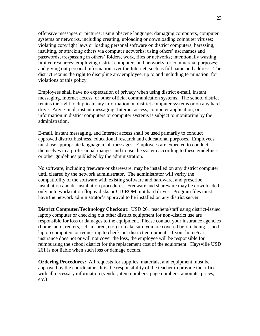offensive messages or pictures; using obscene language; damaging computers, computer systems or networks, including creating, uploading or downloading computer viruses; violating copyright laws or loading personal software on district computers; harassing, insulting, or attacking others via computer networks; using others' usernames and passwords; trespassing in others' folders, work, files or networks; intentionally wasting limited resources; employing district computers and networks for commercial purposes; and giving out personal information over the Internet, such as full name and address. The district retains the right to discipline any employee, up to and including termination, for violations of this policy.

Employees shall have no expectation of privacy when using district e-mail, instant messaging, Internet access, or other official communication systems. The school district retains the right to duplicate any information on district computer systems or on any hard drive. Any e-mail, instant messaging, Internet access, computer application, or information in district computers or computer systems is subject to monitoring by the administration.

E-mail, instant messaging, and Internet access shall be used primarily to conduct approved district business, educational research and educational purposes. Employees must use appropriate language in all messages. Employees are expected to conduct themselves in a professional manger and to use the system according to these guidelines or other guidelines published by the administration.

No software, including freeware or shareware, may be installed on any district computer until cleared by the network administrator. The administrator will verify the compatibility of the software with existing software and hardware, and prescribe installation and de-installation procedures. Freeware and shareware may be downloaded only onto workstation floppy disks or CD-ROM, not hard drives. Program files must have the network administrator's approval to be installed on any district server.

**District Computer/Technology Checkout**: USD 261 teachers/staff using district-issued laptop computer or checking out other district equipment for non-district use are responsible for loss or damages to the equipment. Please contact your insurance agencies (home, auto, renters, self-insured, etc.) to make sure you are covered before being issued laptop computers or requesting to check-out district equipment. If your home/car insurance does not or will not cover the loss, the employee will be responsible for reimbursing the school district for the replacement cost of the equipment. Haysville USD 261 is not liable when such loss or damage occurs.

**Ordering Procedures:** All requests for supplies, materials, and equipment must be approved by the coordinator. It is the responsibility of the teacher to provide the office with all necessary information (vendor, item numbers, page numbers, amounts, prices, etc.)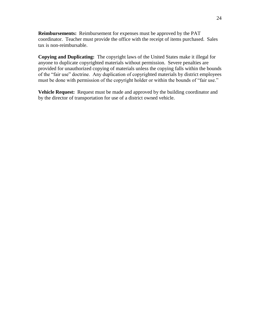**Reimbursements:** Reimbursement for expenses must be approved by the PAT coordinator. Teacher must provide the office with the receipt of items purchased. Sales tax is non-reimbursable.

**Copying and Duplicating:** The copyright laws of the United States make it illegal for anyone to duplicate copyrighted materials without permission. Severe penalties are provided for unauthorized copying of materials unless the copying falls within the bounds of the "fair use" doctrine. Any duplication of copyrighted materials by district employees must be done with permission of the copyright holder or within the bounds of "fair use."

**Vehicle Request:** Request must be made and approved by the building coordinator and by the director of transportation for use of a district owned vehicle.